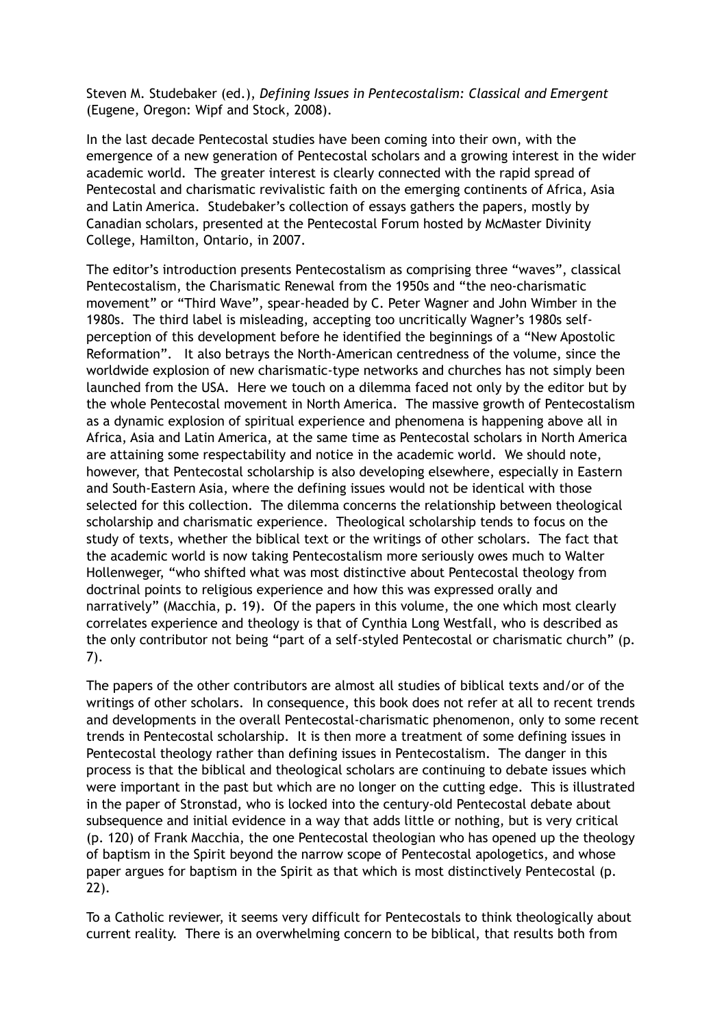Steven M. Studebaker (ed.), *Defining Issues in Pentecostalism: Classical and Emergent* (Eugene, Oregon: Wipf and Stock, 2008).

In the last decade Pentecostal studies have been coming into their own, with the emergence of a new generation of Pentecostal scholars and a growing interest in the wider academic world. The greater interest is clearly connected with the rapid spread of Pentecostal and charismatic revivalistic faith on the emerging continents of Africa, Asia and Latin America. Studebaker's collection of essays gathers the papers, mostly by Canadian scholars, presented at the Pentecostal Forum hosted by McMaster Divinity College, Hamilton, Ontario, in 2007.

The editor's introduction presents Pentecostalism as comprising three "waves", classical Pentecostalism, the Charismatic Renewal from the 1950s and "the neo-charismatic movement" or "Third Wave", spear-headed by C. Peter Wagner and John Wimber in the 1980s. The third label is misleading, accepting too uncritically Wagner's 1980s selfperception of this development before he identified the beginnings of a "New Apostolic Reformation". It also betrays the North-American centredness of the volume, since the worldwide explosion of new charismatic-type networks and churches has not simply been launched from the USA. Here we touch on a dilemma faced not only by the editor but by the whole Pentecostal movement in North America. The massive growth of Pentecostalism as a dynamic explosion of spiritual experience and phenomena is happening above all in Africa, Asia and Latin America, at the same time as Pentecostal scholars in North America are attaining some respectability and notice in the academic world. We should note, however, that Pentecostal scholarship is also developing elsewhere, especially in Eastern and South-Eastern Asia, where the defining issues would not be identical with those selected for this collection. The dilemma concerns the relationship between theological scholarship and charismatic experience. Theological scholarship tends to focus on the study of texts, whether the biblical text or the writings of other scholars. The fact that the academic world is now taking Pentecostalism more seriously owes much to Walter Hollenweger, "who shifted what was most distinctive about Pentecostal theology from doctrinal points to religious experience and how this was expressed orally and narratively" (Macchia, p. 19). Of the papers in this volume, the one which most clearly correlates experience and theology is that of Cynthia Long Westfall, who is described as the only contributor not being "part of a self-styled Pentecostal or charismatic church" (p. 7).

The papers of the other contributors are almost all studies of biblical texts and/or of the writings of other scholars. In consequence, this book does not refer at all to recent trends and developments in the overall Pentecostal-charismatic phenomenon, only to some recent trends in Pentecostal scholarship. It is then more a treatment of some defining issues in Pentecostal theology rather than defining issues in Pentecostalism. The danger in this process is that the biblical and theological scholars are continuing to debate issues which were important in the past but which are no longer on the cutting edge. This is illustrated in the paper of Stronstad, who is locked into the century-old Pentecostal debate about subsequence and initial evidence in a way that adds little or nothing, but is very critical (p. 120) of Frank Macchia, the one Pentecostal theologian who has opened up the theology of baptism in the Spirit beyond the narrow scope of Pentecostal apologetics, and whose paper argues for baptism in the Spirit as that which is most distinctively Pentecostal (p. 22).

To a Catholic reviewer, it seems very difficult for Pentecostals to think theologically about current reality. There is an overwhelming concern to be biblical, that results both from